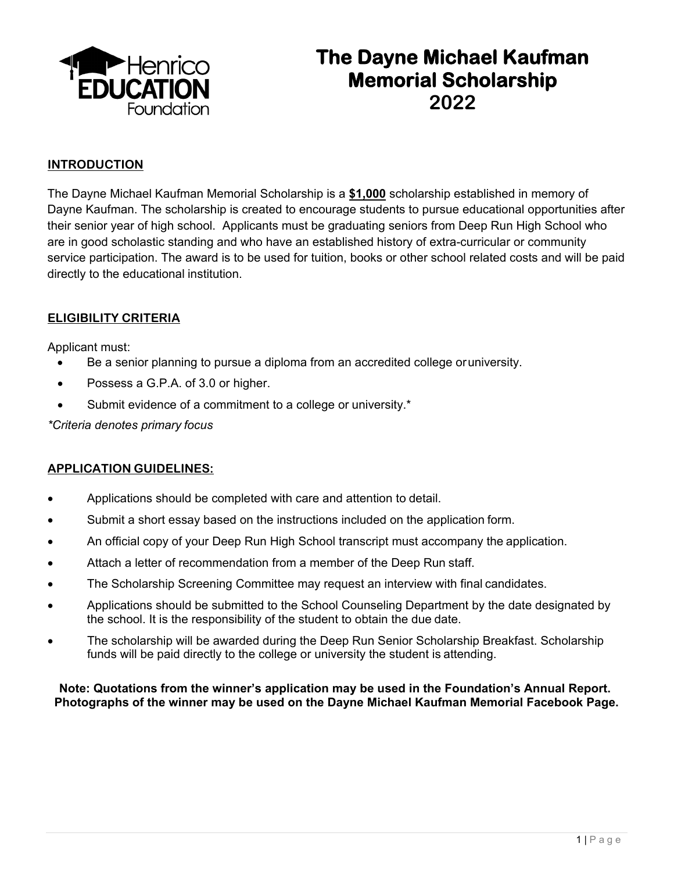

### **INTRODUCTION**

The Dayne Michael Kaufman Memorial Scholarship is a **\$1,000** scholarship established in memory of Dayne Kaufman. The scholarship is created to encourage students to pursue educational opportunities after their senior year of high school. Applicants must be graduating seniors from Deep Run High School who are in good scholastic standing and who have an established history of extra-curricular or community service participation. The award is to be used for tuition, books or other school related costs and will be paid directly to the educational institution.

### **ELIGIBILITY CRITERIA**

Applicant must:

- Be a senior planning to pursue a diploma from an accredited college oruniversity.
- Possess a G.P.A. of 3.0 or higher.
- Submit evidence of a commitment to a college or university.\*

*\*Criteria denotes primary focus*

### **APPLICATION GUIDELINES:**

- Applications should be completed with care and attention to detail.
- Submit a short essay based on the instructions included on the application form.
- An official copy of your Deep Run High School transcript must accompany the application.
- Attach a letter of recommendation from a member of the Deep Run staff.
- The Scholarship Screening Committee may request an interview with final candidates.
- Applications should be submitted to the School Counseling Department by the date designated by the school. It is the responsibility of the student to obtain the due date.
- The scholarship will be awarded during the Deep Run Senior Scholarship Breakfast. Scholarship funds will be paid directly to the college or university the student is attending.

#### **Note: Quotations from the winner's application may be used in the Foundation's Annual Report. Photographs of the winner may be used on the Dayne Michael Kaufman Memorial Facebook Page.**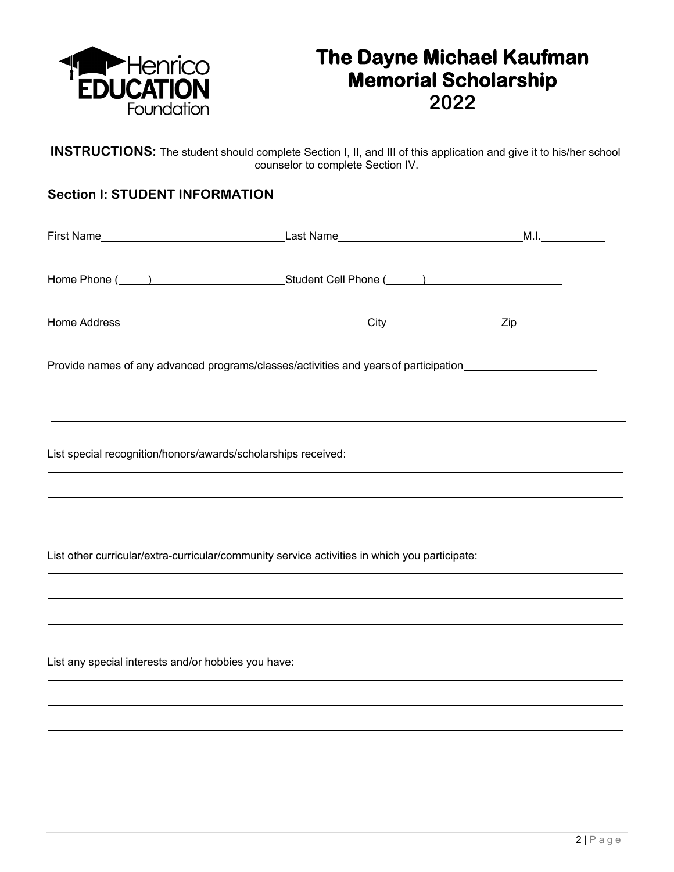

**INSTRUCTIONS:** The student should complete Section I, II, and III of this application and give it to his/her school counselor to complete Section IV.

## **Section I: STUDENT INFORMATION**

| List special recognition/honors/awards/scholarships received:<br>,我们也不会有什么。""我们的人,我们也不会有什么?""我们的人,我们也不会有什么?""我们的人,我们也不会有什么?""我们的人,我们也不会有什么?""我们的人 |                                                                                  |  |  |  |
|---------------------------------------------------------------------------------------------------------------------------------------------------|----------------------------------------------------------------------------------|--|--|--|
|                                                                                                                                                   | ,我们也不会有什么。""我们的人,我们也不会有什么?""我们的人,我们也不会有什么?""我们的人,我们也不会有什么?""我们的人,我们也不会有什么?""我们的人 |  |  |  |
| List other curricular/extra-curricular/community service activities in which you participate:                                                     |                                                                                  |  |  |  |
|                                                                                                                                                   |                                                                                  |  |  |  |
|                                                                                                                                                   |                                                                                  |  |  |  |
| List any special interests and/or hobbies you have:                                                                                               |                                                                                  |  |  |  |
|                                                                                                                                                   |                                                                                  |  |  |  |
|                                                                                                                                                   |                                                                                  |  |  |  |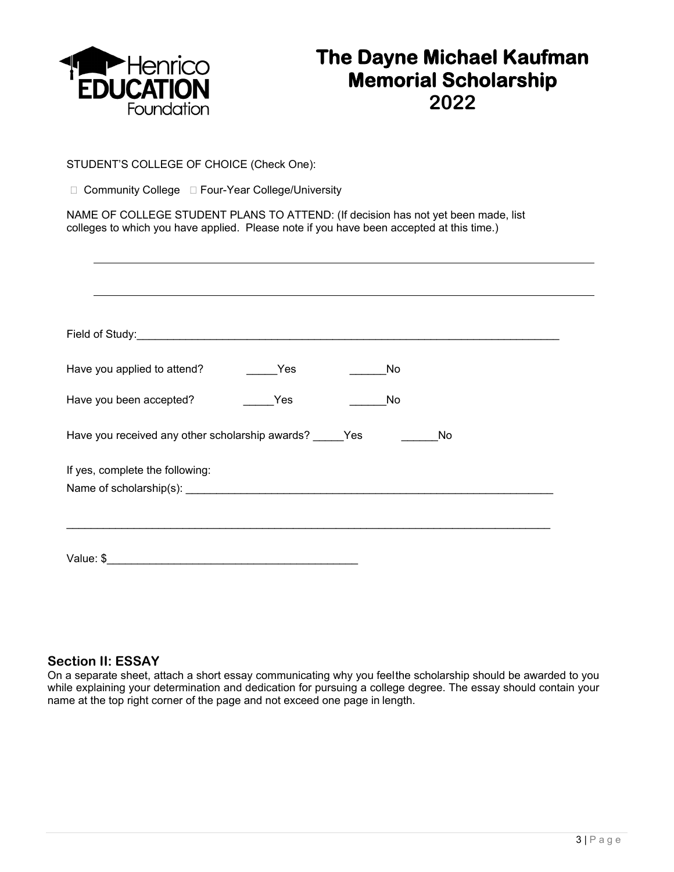

### STUDENT'S COLLEGE OF CHOICE (Check One):

□ Community College □ Four-Year College/University

NAME OF COLLEGE STUDENT PLANS TO ATTEND: (If decision has not yet been made, list colleges to which you have applied. Please note if you have been accepted at this time.)

| Have you applied to attend?<br>Yes<br>No                        |  |
|-----------------------------------------------------------------|--|
| Have you been accepted?<br>Yes<br>No                            |  |
| Have you received any other scholarship awards? _____ Yes<br>No |  |
| If yes, complete the following:                                 |  |
| Value: \$                                                       |  |

### **Section II: ESSAY**

On a separate sheet, attach a short essay communicating why you feelthe scholarship should be awarded to you while explaining your determination and dedication for pursuing a college degree. The essay should contain your name at the top right corner of the page and not exceed one page in length.